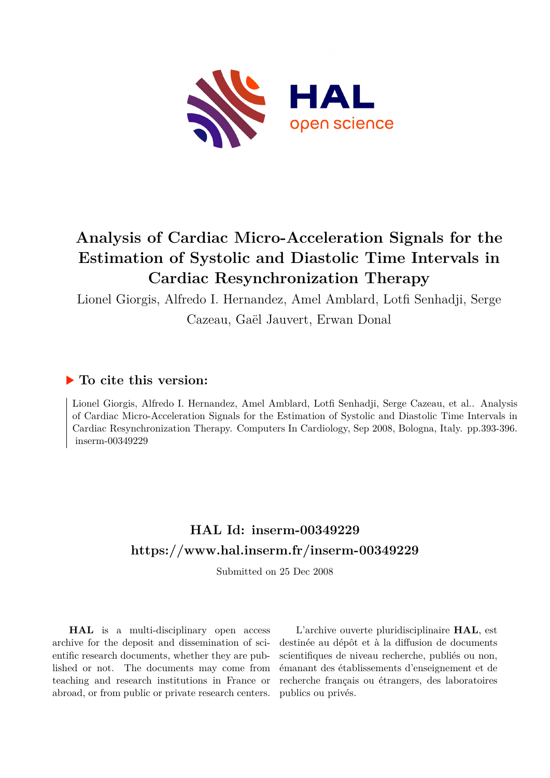

# **Analysis of Cardiac Micro-Acceleration Signals for the Estimation of Systolic and Diastolic Time Intervals in Cardiac Resynchronization Therapy**

Lionel Giorgis, Alfredo I. Hernandez, Amel Amblard, Lotfi Senhadji, Serge

Cazeau, Gaël Jauvert, Erwan Donal

# **To cite this version:**

Lionel Giorgis, Alfredo I. Hernandez, Amel Amblard, Lotfi Senhadji, Serge Cazeau, et al.. Analysis of Cardiac Micro-Acceleration Signals for the Estimation of Systolic and Diastolic Time Intervals in Cardiac Resynchronization Therapy. Computers In Cardiology, Sep 2008, Bologna, Italy. pp.393-396.  $inserm-00349229$ 

# **HAL Id: inserm-00349229 <https://www.hal.inserm.fr/inserm-00349229>**

Submitted on 25 Dec 2008

**HAL** is a multi-disciplinary open access archive for the deposit and dissemination of scientific research documents, whether they are published or not. The documents may come from teaching and research institutions in France or abroad, or from public or private research centers.

L'archive ouverte pluridisciplinaire **HAL**, est destinée au dépôt et à la diffusion de documents scientifiques de niveau recherche, publiés ou non, émanant des établissements d'enseignement et de recherche français ou étrangers, des laboratoires publics ou privés.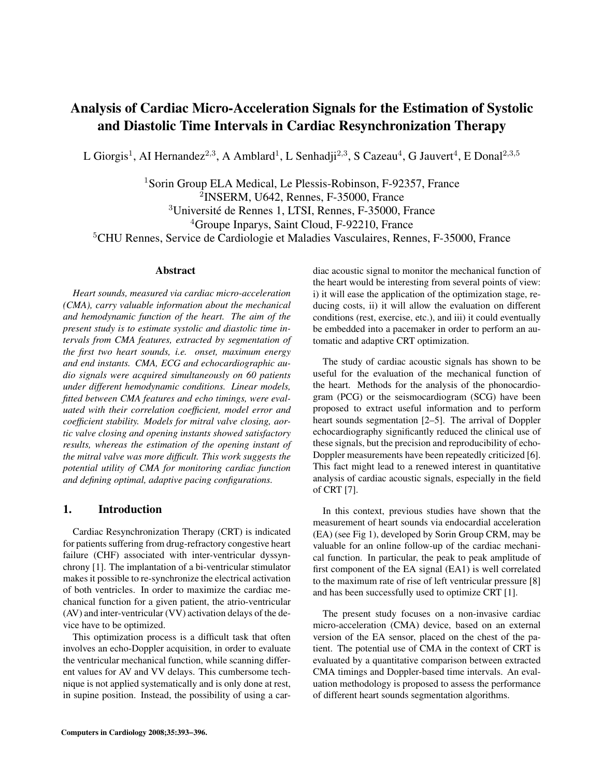# Analysis of Cardiac Micro-Acceleration Signals for the Estimation of Systolic and Diastolic Time Intervals in Cardiac Resynchronization Therapy

L Giorgis<sup>1</sup>, AI Hernandez<sup>2,3</sup>, A Amblard<sup>1</sup>, L Senhadji<sup>2,3</sup>, S Cazeau<sup>4</sup>, G Jauvert<sup>4</sup>, E Donal<sup>2,3,5</sup>

<sup>1</sup>Sorin Group ELA Medical, Le Plessis-Robinson, F-92357, France INSERM, U642, Rennes, F-35000, France Universite de Rennes 1, LTSI, Rennes, F-35000, France ´ Groupe Inparys, Saint Cloud, F-92210, France CHU Rennes, Service de Cardiologie et Maladies Vasculaires, Rennes, F-35000, France

### Abstract

*Heart sounds, measured via cardiac micro-acceleration (CMA), carry valuable information about the mechanical and hemodynamic function of the heart. The aim of the present study is to estimate systolic and diastolic time intervals from CMA features, extracted by segmentation of the first two heart sounds, i.e. onset, maximum energy and end instants. CMA, ECG and echocardiographic audio signals were acquired simultaneously on 60 patients under different hemodynamic conditions. Linear models, fitted between CMA features and echo timings, were evaluated with their correlation coefficient, model error and coefficient stability. Models for mitral valve closing, aortic valve closing and opening instants showed satisfactory results, whereas the estimation of the opening instant of the mitral valve was more difficult. This work suggests the potential utility of CMA for monitoring cardiac function and defining optimal, adaptive pacing configurations.*

## 1. Introduction

Cardiac Resynchronization Therapy (CRT) is indicated for patients suffering from drug-refractory congestive heart failure (CHF) associated with inter-ventricular dyssynchrony [1]. The implantation of a bi-ventricular stimulator makes it possible to re-synchronize the electrical activation of both ventricles. In order to maximize the cardiac mechanical function for a given patient, the atrio-ventricular (AV) and inter-ventricular (VV) activation delays of the device have to be optimized.

This optimization process is a difficult task that often involves an echo-Doppler acquisition, in order to evaluate the ventricular mechanical function, while scanning different values for AV and VV delays. This cumbersome technique is not applied systematically and is only done at rest, in supine position. Instead, the possibility of using a cardiac acoustic signal to monitor the mechanical function of the heart would be interesting from several points of view: i) it will ease the application of the optimization stage, reducing costs, ii) it will allow the evaluation on different conditions (rest, exercise, etc.), and iii) it could eventually be embedded into a pacemaker in order to perform an automatic and adaptive CRT optimization.

The study of cardiac acoustic signals has shown to be useful for the evaluation of the mechanical function of the heart. Methods for the analysis of the phonocardiogram (PCG) or the seismocardiogram (SCG) have been proposed to extract useful information and to perform heart sounds segmentation [2–5]. The arrival of Doppler echocardiography significantly reduced the clinical use of these signals, but the precision and reproducibility of echo-Doppler measurements have been repeatedly criticized [6]. This fact might lead to a renewed interest in quantitative analysis of cardiac acoustic signals, especially in the field of CRT [7].

In this context, previous studies have shown that the measurement of heart sounds via endocardial acceleration (EA) (see Fig 1), developed by Sorin Group CRM, may be valuable for an online follow-up of the cardiac mechanical function. In particular, the peak to peak amplitude of first component of the EA signal (EA1) is well correlated to the maximum rate of rise of left ventricular pressure [8] and has been successfully used to optimize CRT [1].

The present study focuses on a non-invasive cardiac micro-acceleration (CMA) device, based on an external version of the EA sensor, placed on the chest of the patient. The potential use of CMA in the context of CRT is evaluated by a quantitative comparison between extracted CMA timings and Doppler-based time intervals. An evaluation methodology is proposed to assess the performance of different heart sounds segmentation algorithms.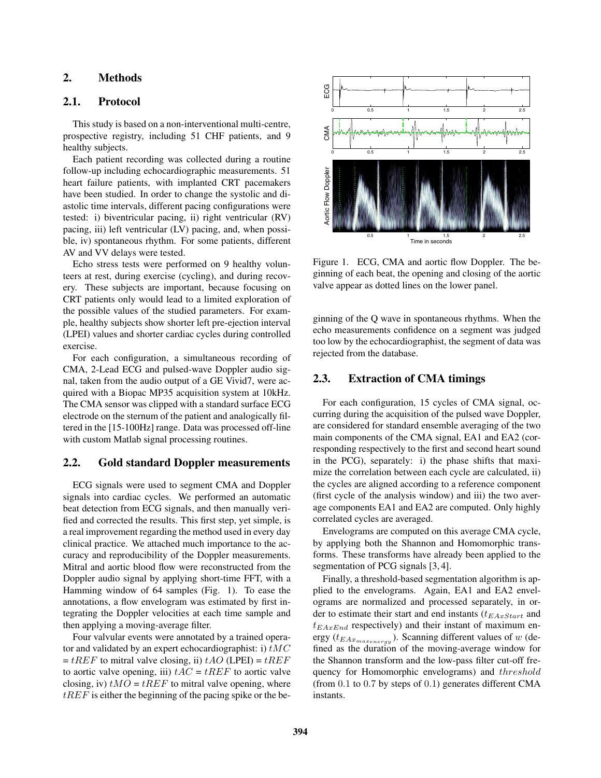# 2. Methods

### 2.1. Protocol

This study is based on a non-interventional multi-centre, prospective registry, including 51 CHF patients, and 9 healthy subjects.

Each patient recording was collected during a routine follow-up including echocardiographic measurements. 51 heart failure patients, with implanted CRT pacemakers have been studied. In order to change the systolic and diastolic time intervals, different pacing configurations were tested: i) biventricular pacing, ii) right ventricular (RV) pacing, iii) left ventricular (LV) pacing, and, when possible, iv) spontaneous rhythm. For some patients, different AV and VV delays were tested.

Echo stress tests were performed on 9 healthy volunteers at rest, during exercise (cycling), and during recovery. These subjects are important, because focusing on CRT patients only would lead to a limited exploration of the possible values of the studied parameters. For example, healthy subjects show shorter left pre-ejection interval (LPEI) values and shorter cardiac cycles during controlled exercise.

For each configuration, a simultaneous recording of CMA, 2-Lead ECG and pulsed-wave Doppler audio signal, taken from the audio output of a GE Vivid7, were acquired with a Biopac MP35 acquisition system at 10kHz. The CMA sensor was clipped with a standard surface ECG electrode on the sternum of the patient and analogically filtered in the [15-100Hz] range. Data was processed off-line with custom Matlab signal processing routines.

## 2.2. Gold standard Doppler measurements

ECG signals were used to segment CMA and Doppler signals into cardiac cycles. We performed an automatic beat detection from ECG signals, and then manually verified and corrected the results. This first step, yet simple, is a real improvement regarding the method used in every day clinical practice. We attached much importance to the accuracy and reproducibility of the Doppler measurements. Mitral and aortic blood flow were reconstructed from the Doppler audio signal by applying short-time FFT, with a Hamming window of 64 samples (Fig. 1). To ease the annotations, a flow envelogram was estimated by first integrating the Doppler velocities at each time sample and then applying a moving-average filter.

Four valvular events were annotated by a trained operator and validated by an expert echocardiographist: i)  $tMC$  $= tREF$  to mitral valve closing, ii)  $tAO$  (LPEI) =  $tREF$ to aortic valve opening, iii)  $tAC = tREF$  to aortic valve closing, iv)  $tMO = tREF$  to mitral valve opening, where  $tREF$  is either the beginning of the pacing spike or the be-



Figure 1. ECG, CMA and aortic flow Doppler. The beginning of each beat, the opening and closing of the aortic valve appear as dotted lines on the lower panel.

ginning of the Q wave in spontaneous rhythms. When the echo measurements confidence on a segment was judged too low by the echocardiographist, the segment of data was rejected from the database.

# 2.3. Extraction of CMA timings

For each configuration, 15 cycles of CMA signal, occurring during the acquisition of the pulsed wave Doppler, are considered for standard ensemble averaging of the two main components of the CMA signal, EA1 and EA2 (corresponding respectively to the first and second heart sound in the PCG), separately: i) the phase shifts that maximize the correlation between each cycle are calculated, ii) the cycles are aligned according to a reference component (first cycle of the analysis window) and iii) the two average components EA1 and EA2 are computed. Only highly correlated cycles are averaged.

Envelograms are computed on this average CMA cycle, by applying both the Shannon and Homomorphic transforms. These transforms have already been applied to the segmentation of PCG signals [3, 4].

Finally, a threshold-based segmentation algorithm is applied to the envelograms. Again, EA1 and EA2 envelograms are normalized and processed separately, in order to estimate their start and end instants  $(t_{EAxStart}$  and  $t_{EAxEnd}$  respectively) and their instant of maximum energy ( $t_{EAx_{maxenergy}}$ ). Scanning different values of w (defined as the duration of the moving-average window for the Shannon transform and the low-pass filter cut-off frequency for Homomorphic envelograms) and threshold (from 0.1 to 0.7 by steps of 0.1) generates different CMA instants.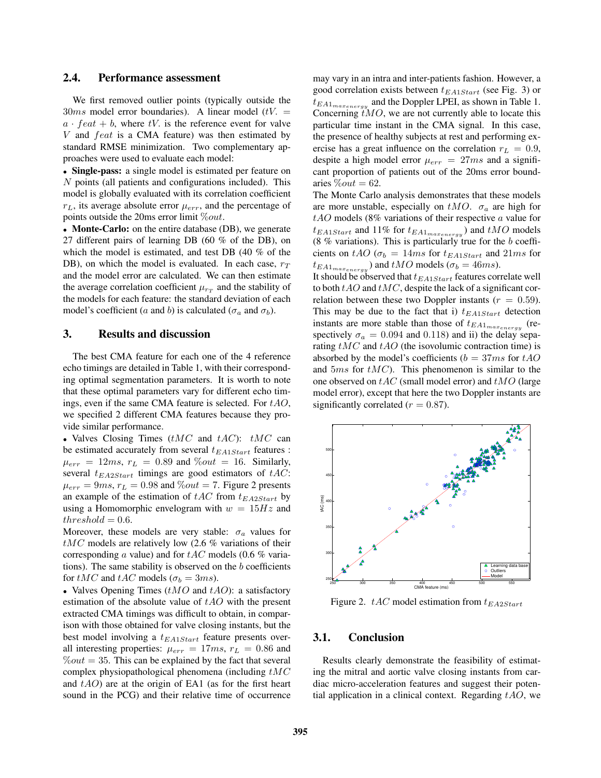#### 2.4. Performance assessment

We first removed outlier points (typically outside the  $30ms$  model error boundaries). A linear model (tV. =  $a \cdot feat + b$ , where tV. is the reference event for valve  $V$  and  $feat$  is a CMA feature) was then estimated by standard RMSE minimization. Two complementary approaches were used to evaluate each model:

• Single-pass: a single model is estimated per feature on N points (all patients and configurations included). This model is globally evaluated with its correlation coefficient  $r_L$ , its average absolute error  $\mu_{err}$ , and the percentage of points outside the 20ms error limit  $\%out$ .

• Monte-Carlo: on the entire database (DB), we generate 27 different pairs of learning DB (60 % of the DB), on which the model is estimated, and test DB (40 % of the DB), on which the model is evaluated. In each case,  $r_T$ and the model error are calculated. We can then estimate the average correlation coefficient  $\mu_{rT}$  and the stability of the models for each feature: the standard deviation of each model's coefficient (a and b) is calculated ( $\sigma_a$  and  $\sigma_b$ ).

#### 3. Results and discussion

The best CMA feature for each one of the 4 reference echo timings are detailed in Table 1, with their corresponding optimal segmentation parameters. It is worth to note that these optimal parameters vary for different echo timings, even if the same CMA feature is selected. For  $tAO$ , we specified 2 different CMA features because they provide similar performance.

• Valves Closing Times  $(tMC \text{ and } tAC)$ :  $tMC \text{ can}$ be estimated accurately from several  $t_{EA1Start}$  features :  $\mu_{err} = 12ms$ ,  $r_L = 0.89$  and  $\%out = 16$ . Similarly, several  $t_{EA2Start}$  timings are good estimators of  $tAC$ :  $\mu_{err} = 9ms$ ,  $r_L = 0.98$  and  $\%out = 7$ . Figure 2 presents an example of the estimation of  $tAC$  from  $t_{EA2Start}$  by using a Homomorphic envelogram with  $w = 15Hz$  and  $threshold = 0.6$ .

Moreover, these models are very stable:  $\sigma_a$  values for  $tMC$  models are relatively low (2.6 % variations of their corresponding a value) and for  $tAC$  models (0.6 % variations). The same stability is observed on the  $b$  coefficients for  $tMC$  and  $tAC$  models ( $\sigma_b = 3ms$ ).

• Valves Opening Times  $(tMO$  and  $tAO)$ : a satisfactory estimation of the absolute value of  $tAO$  with the present extracted CMA timings was difficult to obtain, in comparison with those obtained for valve closing instants, but the best model involving a  $t_{EA1Start}$  feature presents overall interesting properties:  $\mu_{err} = 17ms$ ,  $r_L = 0.86$  and  $\%out = 35$ . This can be explained by the fact that several complex physiopathological phenomena (including  $tMC$ and  $tAO$ ) are at the origin of EA1 (as for the first heart sound in the PCG) and their relative time of occurrence

may vary in an intra and inter-patients fashion. However, a good correlation exists between  $t_{EA1Start}$  (see Fig. 3) or  $t_{EA1_{maxenergy}}$  and the Doppler LPEI, as shown in Table 1. Concerning  $tMO$ , we are not currently able to locate this particular time instant in the CMA signal. In this case, the presence of healthy subjects at rest and performing exercise has a great influence on the correlation  $r_L = 0.9$ , despite a high model error  $\mu_{err} = 27ms$  and a significant proportion of patients out of the 20ms error boundaries  $\%out = 62$ .

The Monte Carlo analysis demonstrates that these models are more unstable, especially on  $tMO$ .  $\sigma_a$  are high for  $tAO$  models (8% variations of their respective  $a$  value for  $t_{EA1Start}$  and 11% for  $t_{EA1_{max_{energy}}}$ ) and  $tMO$  models (8  $%$  variations). This is particularly true for the  $b$  coefficients on tAO ( $\sigma_b = 14ms$  for  $t_{EA1Start}$  and  $21ms$  for  $t_{EA1_{max_{energy}}}$ ) and  $tMO$  models ( $\sigma_b = 46ms$ ).

It should be observed that  $t_{EA1Start}$  features correlate well to both  $tAO$  and  $tMC$ , despite the lack of a significant correlation between these two Doppler instants ( $r = 0.59$ ). This may be due to the fact that i)  $t_{EA1Start}$  detection instants are more stable than those of  $t_{EA1_{max_{energy}}}$  (respectively  $\sigma_a = 0.094$  and 0.118) and ii) the delay separating  $tMC$  and  $tAO$  (the isovolumic contraction time) is absorbed by the model's coefficients ( $b = 37$ ms for tAO and  $5ms$  for  $tMC$ ). This phenomenon is similar to the one observed on  $tAC$  (small model error) and  $tMO$  (large model error), except that here the two Doppler instants are significantly correlated ( $r = 0.87$ ).



Figure 2. tAC model estimation from  $t_{EA2Start}$ 

#### 3.1. Conclusion

Results clearly demonstrate the feasibility of estimating the mitral and aortic valve closing instants from cardiac micro-acceleration features and suggest their potential application in a clinical context. Regarding  $tAO$ , we